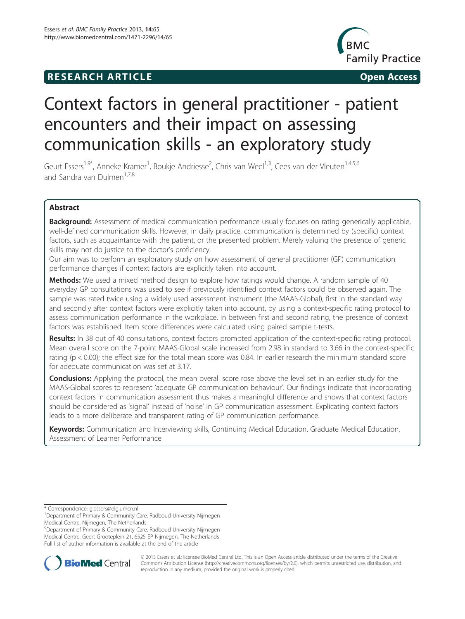## **RESEARCH ARTICLE Example 20 and 20 and 20 and 20 and 20 and 20 and 20 and 20 and 20 and 20 and 20 and 20 and 20 and 20 and 20 and 20 and 20 and 20 and 20 and 20 and 20 and 20 and 20 and 20 and 20 and 20 and 20 and 20 an**



# Context factors in general practitioner - patient encounters and their impact on assessing communication skills - an exploratory study

Geurt Essers<sup>1,9\*</sup>, Anneke Kramer<sup>1</sup>, Boukje Andriesse<sup>2</sup>, Chris van Weel<sup>1,3</sup>, Cees van der Vleuten<sup>1,4,5,6</sup> and Sandra van Dulmen<sup>1,7,8</sup>

## Abstract

Background: Assessment of medical communication performance usually focuses on rating generically applicable, well-defined communication skills. However, in daily practice, communication is determined by (specific) context factors, such as acquaintance with the patient, or the presented problem. Merely valuing the presence of generic skills may not do justice to the doctor's proficiency.

Our aim was to perform an exploratory study on how assessment of general practitioner (GP) communication performance changes if context factors are explicitly taken into account.

Methods: We used a mixed method design to explore how ratings would change. A random sample of 40 everyday GP consultations was used to see if previously identified context factors could be observed again. The sample was rated twice using a widely used assessment instrument (the MAAS-Global), first in the standard way and secondly after context factors were explicitly taken into account, by using a context-specific rating protocol to assess communication performance in the workplace. In between first and second rating, the presence of context factors was established. Item score differences were calculated using paired sample t-tests.

Results: In 38 out of 40 consultations, context factors prompted application of the context-specific rating protocol. Mean overall score on the 7-point MAAS-Global scale increased from 2.98 in standard to 3.66 in the context-specific rating ( $p < 0.00$ ); the effect size for the total mean score was 0.84. In earlier research the minimum standard score for adequate communication was set at 3.17.

Conclusions: Applying the protocol, the mean overall score rose above the level set in an earlier study for the MAAS-Global scores to represent 'adequate GP communication behaviour'. Our findings indicate that incorporating context factors in communication assessment thus makes a meaningful difference and shows that context factors should be considered as 'signal' instead of 'noise' in GP communication assessment. Explicating context factors leads to a more deliberate and transparent rating of GP communication performance.

Keywords: Communication and Interviewing skills, Continuing Medical Education, Graduate Medical Education, Assessment of Learner Performance

9 Department of Primary & Community Care, Radboud University Nijmegen Medical Centre, Geert Grooteplein 21, 6525 EP Nijmegen, The Netherlands Full list of author information is available at the end of the article



© 2013 Essers et al.; licensee BioMed Central Ltd. This is an Open Access article distributed under the terms of the Creative Commons Attribution License [\(http://creativecommons.org/licenses/by/2.0\)](http://creativecommons.org/licenses/by/2.0), which permits unrestricted use, distribution, and reproduction in any medium, provided the original work is properly cited.

<sup>\*</sup> Correspondence: [g.essers@elg.umcn.nl](mailto:g.essers@elg.umcn.nl) <sup>1</sup>

<sup>&</sup>lt;sup>1</sup>Department of Primary & Community Care, Radboud University Nijmegen Medical Centre, Nijmegen, The Netherlands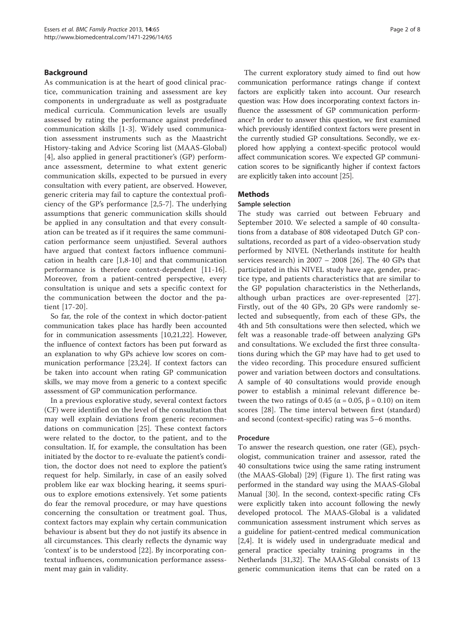## Background

As communication is at the heart of good clinical practice, communication training and assessment are key components in undergraduate as well as postgraduate medical curricula. Communication levels are usually assessed by rating the performance against predefined communication skills [[1-3\]](#page-6-0). Widely used communication assessment instruments such as the Maastricht History-taking and Advice Scoring list (MAAS-Global) [[4\]](#page-6-0), also applied in general practitioner's (GP) performance assessment, determine to what extent generic communication skills, expected to be pursued in every consultation with every patient, are observed. However, generic criteria may fail to capture the contextual proficiency of the GP's performance [[2,5](#page-6-0)-[7](#page-6-0)]. The underlying assumptions that generic communication skills should be applied in any consultation and that every consultation can be treated as if it requires the same communication performance seem unjustified. Several authors have argued that context factors influence communication in health care [\[1](#page-6-0),[8-10](#page-6-0)] and that communication performance is therefore context-dependent [\[11](#page-6-0)-[16](#page-6-0)]. Moreover, from a patient-centred perspective, every consultation is unique and sets a specific context for the communication between the doctor and the patient [[17-20\]](#page-6-0).

So far, the role of the context in which doctor-patient communication takes place has hardly been accounted for in communication assessments [\[10,21,22](#page-6-0)]. However, the influence of context factors has been put forward as an explanation to why GPs achieve low scores on communication performance [\[23,24\]](#page-7-0). If context factors can be taken into account when rating GP communication skills, we may move from a generic to a context specific assessment of GP communication performance.

In a previous explorative study, several context factors (CF) were identified on the level of the consultation that may well explain deviations from generic recommendations on communication [[25\]](#page-7-0). These context factors were related to the doctor, to the patient, and to the consultation. If, for example, the consultation has been initiated by the doctor to re-evaluate the patient's condition, the doctor does not need to explore the patient's request for help. Similarly, in case of an easily solved problem like ear wax blocking hearing, it seems spurious to explore emotions extensively. Yet some patients do fear the removal procedure, or may have questions concerning the consultation or treatment goal. Thus, context factors may explain why certain communication behaviour is absent but they do not justify its absence in all circumstances. This clearly reflects the dynamic way 'context' is to be understood [[22\]](#page-6-0). By incorporating contextual influences, communication performance assessment may gain in validity.

The current exploratory study aimed to find out how communication performance ratings change if context factors are explicitly taken into account. Our research question was: How does incorporating context factors influence the assessment of GP communication performance? In order to answer this question, we first examined which previously identified context factors were present in the currently studied GP consultations. Secondly, we explored how applying a context-specific protocol would affect communication scores. We expected GP communication scores to be significantly higher if context factors are explicitly taken into account [\[25\]](#page-7-0).

## **Methods**

## Sample selection

The study was carried out between February and September 2010. We selected a sample of 40 consultations from a database of 808 videotaped Dutch GP consultations, recorded as part of a video-observation study performed by NIVEL (Netherlands institute for health services research) in 2007 – 2008 [\[26](#page-7-0)]. The 40 GPs that participated in this NIVEL study have age, gender, practice type, and patients characteristics that are similar to the GP population characteristics in the Netherlands, although urban practices are over-represented [\[27](#page-7-0)]. Firstly, out of the 40 GPs, 20 GPs were randomly selected and subsequently, from each of these GPs, the 4th and 5th consultations were then selected, which we felt was a reasonable trade-off between analyzing GPs and consultations. We excluded the first three consultations during which the GP may have had to get used to the video recording. This procedure ensured sufficient power and variation between doctors and consultations. A sample of 40 consultations would provide enough power to establish a minimal relevant difference between the two ratings of 0.45 ( $\alpha$  = 0.05, β = 0.10) on item scores [[28\]](#page-7-0). The time interval between first (standard) and second (context-specific) rating was 5–6 months.

## Procedure

To answer the research question, one rater (GE), psychologist, communication trainer and assessor, rated the 40 consultations twice using the same rating instrument (the MAAS-Global) [[29](#page-7-0)] (Figure [1\)](#page-2-0). The first rating was performed in the standard way using the MAAS-Global Manual [\[30](#page-7-0)]. In the second, context-specific rating CFs were explicitly taken into account following the newly developed protocol. The MAAS-Global is a validated communication assessment instrument which serves as a guideline for patient-centred medical communication [[2,4\]](#page-6-0). It is widely used in undergraduate medical and general practice specialty training programs in the Netherlands [\[31,32](#page-7-0)]. The MAAS-Global consists of 13 generic communication items that can be rated on a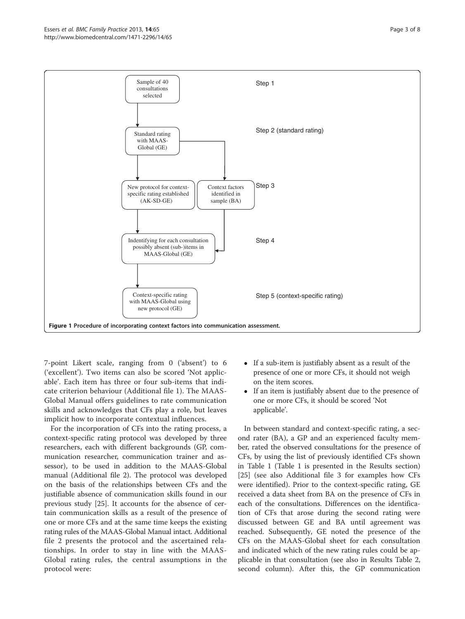<span id="page-2-0"></span>

7-point Likert scale, ranging from 0 ('absent') to 6 ('excellent'). Two items can also be scored 'Not applicable'. Each item has three or four sub-items that indicate criterion behaviour (Additional file [1](#page-6-0)). The MAAS-Global Manual offers guidelines to rate communication skills and acknowledges that CFs play a role, but leaves implicit how to incorporate contextual influences.

For the incorporation of CFs into the rating process, a context-specific rating protocol was developed by three researchers, each with different backgrounds (GP, communication researcher, communication trainer and assessor), to be used in addition to the MAAS-Global manual (Additional file [2\)](#page-6-0). The protocol was developed on the basis of the relationships between CFs and the justifiable absence of communication skills found in our previous study [\[25](#page-7-0)]. It accounts for the absence of certain communication skills as a result of the presence of one or more CFs and at the same time keeps the existing rating rules of the MAAS-Global Manual intact. Additional file [2](#page-6-0) presents the protocol and the ascertained relationships. In order to stay in line with the MAAS-Global rating rules, the central assumptions in the protocol were:

- If a sub-item is justifiably absent as a result of the presence of one or more CFs, it should not weigh on the item scores.
- If an item is justifiably absent due to the presence of one or more CFs, it should be scored 'Not applicable'.

In between standard and context-specific rating, a second rater (BA), a GP and an experienced faculty member, rated the observed consultations for the presence of CFs, by using the list of previously identified CFs shown in Table [1](#page-3-0) (Table [1](#page-3-0) is presented in the Results section) [[25\]](#page-7-0) (see also Additional file [3](#page-6-0) for examples how CFs were identified). Prior to the context-specific rating, GE received a data sheet from BA on the presence of CFs in each of the consultations. Differences on the identification of CFs that arose during the second rating were discussed between GE and BA until agreement was reached. Subsequently, GE noted the presence of the CFs on the MAAS-Global sheet for each consultation and indicated which of the new rating rules could be applicable in that consultation (see also in Results Table [2](#page-4-0), second column). After this, the GP communication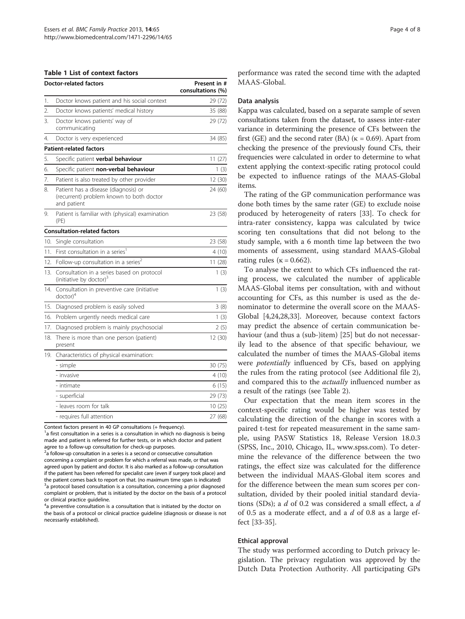#### <span id="page-3-0"></span>Table 1 List of context factors

|     | <b>Doctor-related factors</b>                                                                   | Present in #<br>consultations (%) |  |
|-----|-------------------------------------------------------------------------------------------------|-----------------------------------|--|
| 1.  | Doctor knows patient and his social context                                                     | 29 (72)                           |  |
| 2.  | Doctor knows patients' medical history                                                          | 35 (88)                           |  |
| 3.  | Doctor knows patients' way of<br>communicating                                                  | 29 (72)                           |  |
| 4.  | Doctor is very experienced                                                                      | 34 (85)                           |  |
|     | <b>Patient-related factors</b>                                                                  |                                   |  |
| 5.  | Specific patient <b>verbal behaviour</b>                                                        | 11(27)                            |  |
| 6.  | Specific patient non-verbal behaviour                                                           | 1(3)                              |  |
| 7.  | Patient is also treated by other provider                                                       | 12 (30)                           |  |
| 8.  | Patient has a disease (diagnosis) or<br>(recurrent) problem known to both doctor<br>and patient | 24 (60)                           |  |
| 9.  | Patient is familiar with (physical) examination<br>(PE)                                         | 23 (58)                           |  |
|     | <b>Consultation-related factors</b>                                                             |                                   |  |
| 10. | Single consultation                                                                             | 23 (58)                           |  |
| 11. | First consultation in a series <sup>1</sup>                                                     | 4(10)                             |  |
| 12. | Follow-up consultation in a series <sup>2</sup>                                                 | 11 (28)                           |  |
| 13. | Consultation in a series based on protocol<br>(initiative by doctor) <sup>3</sup>               | 1(3)                              |  |
| 14. | Consultation in preventive care (initiative<br>doctor) <sup>4</sup>                             | 1(3)                              |  |
| 15. | Diagnosed problem is easily solved                                                              | 3(8)                              |  |
| 16. | Problem urgently needs medical care                                                             | 1(3)                              |  |
| 17. | Diagnosed problem is mainly psychosocial                                                        | 2(5)                              |  |
| 18. | There is more than one person (patient)<br>present                                              | 12 (30)                           |  |
| 19. | Characteristics of physical examination:                                                        |                                   |  |
|     | - simple                                                                                        | 30(75)                            |  |
|     | - invasive                                                                                      | 4(10)                             |  |
|     | - intimate                                                                                      | 6(15)                             |  |
|     | - superficial                                                                                   | 29 (73)                           |  |
|     | - leaves room for talk                                                                          | 10(25)                            |  |
|     | - requires full attention                                                                       | 27 (68)                           |  |

Context factors present in 40 GP consultations (+ frequency).

<sup>1</sup>a first consultation in a series is a consultation in which no diagnosis is being made and patient is referred for further tests, or in which doctor and patient agree to a follow-up consultation for check-up purposes.

<sup>2</sup>a follow-up consultation in a series is a second or consecutive consultation concerning a complaint or problem for which a referral was made, or that was agreed upon by patient and doctor. It is also marked as a follow-up consultation if the patient has been referred for specialist care (even if surgery took place) and the patient comes back to report on that. (no maximum time span is indicated) <sup>3</sup>a protocol based consultation is a consultation, concerning a prior diagnosed complaint or problem, that is initiated by the doctor on the basis of a protocol or clinical practice guideline.

<sup>4</sup>a preventive consultation is a consultation that is initiated by the doctor on the basis of a protocol or clinical practice guideline (diagnosis or disease is not necessarily established).

performance was rated the second time with the adapted MAAS-Global.

#### Data analysis

Kappa was calculated, based on a separate sample of seven consultations taken from the dataset, to assess inter-rater variance in determining the presence of CFs between the first (GE) and the second rater (BA) ( $\kappa = 0.69$ ). Apart from checking the presence of the previously found CFs, their frequencies were calculated in order to determine to what extent applying the context-specific rating protocol could be expected to influence ratings of the MAAS-Global items.

The rating of the GP communication performance was done both times by the same rater (GE) to exclude noise produced by heterogeneity of raters [[33](#page-7-0)]. To check for intra-rater consistency, kappa was calculated by twice scoring ten consultations that did not belong to the study sample, with a 6 month time lap between the two moments of assessment, using standard MAAS-Global rating rules ( $\kappa = 0.662$ ).

To analyse the extent to which CFs influenced the rating process, we calculated the number of applicable MAAS-Global items per consultation, with and without accounting for CFs, as this number is used as the denominator to determine the overall score on the MAAS-Global [\[4](#page-6-0)[,24,28,33\]](#page-7-0). Moreover, because context factors may predict the absence of certain communication behaviour (and thus a (sub-)item) [[25\]](#page-7-0) but do not necessarily lead to the absence of that specific behaviour, we calculated the number of times the MAAS-Global items were potentially influenced by CFs, based on applying the rules from the rating protocol (see Additional file [2](#page-6-0)), and compared this to the actually influenced number as a result of the ratings (see Table [2](#page-4-0)).

Our expectation that the mean item scores in the context-specific rating would be higher was tested by calculating the direction of the change in scores with a paired t-test for repeated measurement in the same sample, using PASW Statistics 18, Release Version 18.0.3 (SPSS, Inc., 2010, Chicago, IL, [www.spss.com](http://www.spss.com/)). To determine the relevance of the difference between the two ratings, the effect size was calculated for the difference between the individual MAAS-Global item scores and for the difference between the mean sum scores per consultation, divided by their pooled initial standard deviations (SDs); a d of 0.2 was considered a small effect, a d of 0.5 as a moderate effect, and a  $d$  of 0.8 as a large effect [[33-35\]](#page-7-0).

### Ethical approval

The study was performed according to Dutch privacy legislation. The privacy regulation was approved by the Dutch Data Protection Authority. All participating GPs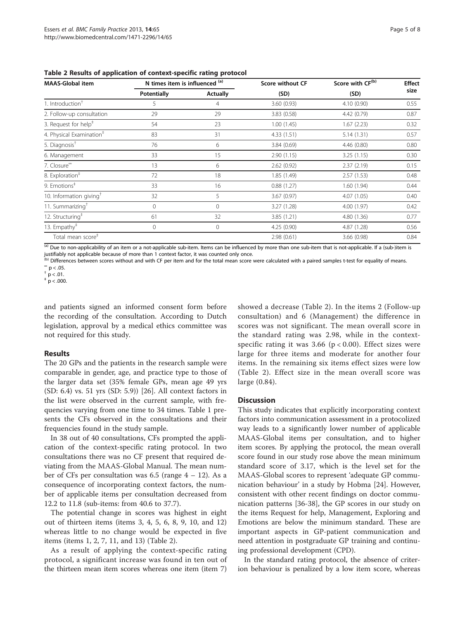| <b>MAAS-Global item</b>              | N times item is influenced (a) |                 | Score without CF | Score with CF(b) | <b>Effect</b> |
|--------------------------------------|--------------------------------|-----------------|------------------|------------------|---------------|
|                                      | <b>Potentially</b>             | <b>Actually</b> | (SD)             | (SD)             | size          |
| 1. Introduction <sup>+</sup>         | 5                              | $\overline{4}$  | 3.60(0.93)       | 4.10 (0.90)      | 0.55          |
| 2. Follow-up consultation            | 29                             | 29              | 3.83(0.58)       | 4.42 (0.79)      | 0.87          |
| 3. Request for help $‡$              | 54                             | 23              | 1.00(1.45)       | 1.67(2.23)       | 0.32          |
| 4. Physical Examination <sup>#</sup> | 83                             | 31              | 4.33(1.51)       | 5.14(1.31)       | 0.57          |
| 5. Diagnosis <sup>t</sup>            | 76                             | 6               | 3.84 (0.69)      | 4.46(0.80)       | 0.80          |
| 6. Management                        | 33                             | 15              | 2.90(1.15)       | 3.25(1.15)       | 0.30          |
| 7. Closure <sup>®</sup>              | 13                             | 6               | 2.62(0.92)       | 2.37(2.19)       | 0.15          |
| 8. Exploration <sup>#</sup>          | 72                             | 18              | 1.85(1.49)       | 2.57(1.53)       | 0.48          |
| 9. Emotions <sup>#</sup>             | 33                             | 16              | 0.88(1.27)       | 1.60(1.94)       | 0.44          |
| 10. Information giving <sup>†</sup>  | 32                             | 5               | 3.67(0.97)       | 4.07(1.05)       | 0.40          |
| 11. Summarizing <sup>+</sup>         | 0                              | $\Omega$        | 3.27 (1.28)      | 4.00 (1.97)      | 0.42          |
| 12. Structuring <sup>#</sup>         | 61                             | 32              | 3.85 (1.21)      | 4.80 (1.36)      | 0.77          |
| 13. Empathy <sup>#</sup>             | 0                              | $\mathbf{0}$    | 4.25(0.90)       | 4.87 (1.28)      | 0.56          |
| Total mean score <sup>#</sup>        |                                |                 | 2.98(0.61)       | 3.66 (0.98)      | 0.84          |

<span id="page-4-0"></span>Table 2 Results of application of context-specific rating protocol

(a) Due to non-applicability of an item or a not-applicable sub-item. Items can be influenced by more than one sub-item that is not-applicable. If a (sub-)item is justifiably not applicable because of more than 1 context factor, it was counted only once.

(b) Differences between scores without and with CF per item and for the total mean score were calculated with a paired samples t-test for equality of means.<br><sup>∞</sup> p < .05.<br><sup>†</sup> p < .01.

 $*$  p < .000.

and patients signed an informed consent form before the recording of the consultation. According to Dutch legislation, approval by a medical ethics committee was not required for this study.

## Results

The 20 GPs and the patients in the research sample were comparable in gender, age, and practice type to those of the larger data set (35% female GPs, mean age 49 yrs (SD: 6.4) vs. 51 yrs (SD: 5.9)) [[26\]](#page-7-0). All context factors in the list were observed in the current sample, with frequencies varying from one time to 34 times. Table [1](#page-3-0) presents the CFs observed in the consultations and their frequencies found in the study sample.

In 38 out of 40 consultations, CFs prompted the application of the context-specific rating protocol. In two consultations there was no CF present that required deviating from the MAAS-Global Manual. The mean number of CFs per consultation was 6.5 (range 4 – 12). As a consequence of incorporating context factors, the number of applicable items per consultation decreased from 12.2 to 11.8 (sub-items: from 40.6 to 37.7).

The potential change in scores was highest in eight out of thirteen items (items 3, 4, 5, 6, 8, 9, 10, and 12) whereas little to no change would be expected in five items (items 1, 2, 7, 11, and 13) (Table 2).

As a result of applying the context-specific rating protocol, a significant increase was found in ten out of the thirteen mean item scores whereas one item (item 7)

showed a decrease (Table 2). In the items 2 (Follow-up consultation) and 6 (Management) the difference in scores was not significant. The mean overall score in the standard rating was 2.98, while in the contextspecific rating it was 3.66 ( $p < 0.00$ ). Effect sizes were large for three items and moderate for another four items. In the remaining six items effect sizes were low (Table 2). Effect size in the mean overall score was large (0.84).

## **Discussion**

This study indicates that explicitly incorporating context factors into communication assessment in a protocolized way leads to a significantly lower number of applicable MAAS-Global items per consultation, and to higher item scores. By applying the protocol, the mean overall score found in our study rose above the mean minimum standard score of 3.17, which is the level set for the MAAS-Global scores to represent 'adequate GP communication behaviour' in a study by Hobma [[24\]](#page-7-0). However, consistent with other recent findings on doctor communication patterns [[36-38](#page-7-0)], the GP scores in our study on the items Request for help, Management, Exploring and Emotions are below the minimum standard. These are important aspects in GP-patient communication and need attention in postgraduate GP training and continuing professional development (CPD).

In the standard rating protocol, the absence of criterion behaviour is penalized by a low item score, whereas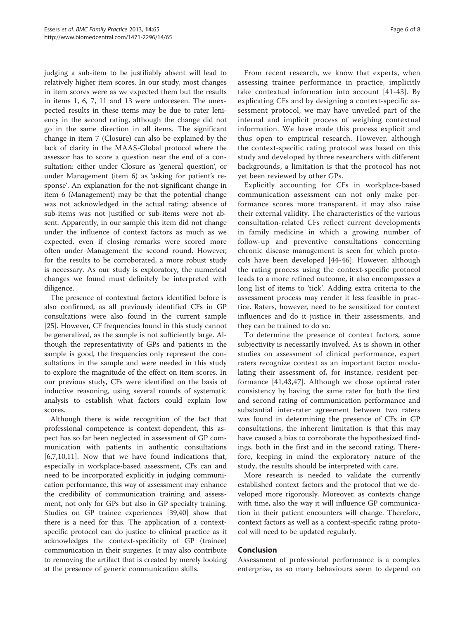judging a sub-item to be justifiably absent will lead to relatively higher item scores. In our study, most changes in item scores were as we expected them but the results in items 1, 6, 7, 11 and 13 were unforeseen. The unexpected results in these items may be due to rater leniency in the second rating, although the change did not go in the same direction in all items. The significant change in item 7 (Closure) can also be explained by the lack of clarity in the MAAS-Global protocol where the assessor has to score a question near the end of a consultation: either under Closure as 'general question', or under Management (item 6) as 'asking for patient's response'. An explanation for the not-significant change in item 6 (Management) may be that the potential change was not acknowledged in the actual rating: absence of sub-items was not justified or sub-items were not absent. Apparently, in our sample this item did not change under the influence of context factors as much as we expected, even if closing remarks were scored more often under Management the second round. However, for the results to be corroborated, a more robust study is necessary. As our study is exploratory, the numerical changes we found must definitely be interpreted with diligence.

The presence of contextual factors identified before is also confirmed, as all previously identified CFs in GP consultations were also found in the current sample [[25\]](#page-7-0). However, CF frequencies found in this study cannot be generalized, as the sample is not sufficiently large. Although the representativity of GPs and patients in the sample is good, the frequencies only represent the consultations in the sample and were needed in this study to explore the magnitude of the effect on item scores. In our previous study, CFs were identified on the basis of inductive reasoning, using several rounds of systematic analysis to establish what factors could explain low scores.

Although there is wide recognition of the fact that professional competence is context-dependent, this aspect has so far been neglected in assessment of GP communication with patients in authentic consultations [[6,7,10,11\]](#page-6-0). Now that we have found indications that, especially in workplace-based assessment, CFs can and need to be incorporated explicitly in judging communication performance, this way of assessment may enhance the credibility of communication training and assessment, not only for GPs but also in GP specialty training. Studies on GP trainee experiences [[39,40\]](#page-7-0) show that there is a need for this. The application of a contextspecific protocol can do justice to clinical practice as it acknowledges the context-specificity of GP (trainee) communication in their surgeries. It may also contribute to removing the artifact that is created by merely looking at the presence of generic communication skills.

From recent research, we know that experts, when assessing trainee performance in practice, implicitly take contextual information into account [[41-43\]](#page-7-0). By explicating CFs and by designing a context-specific assessment protocol, we may have unveiled part of the internal and implicit process of weighing contextual information. We have made this process explicit and thus open to empirical research. However, although the context-specific rating protocol was based on this study and developed by three researchers with different backgrounds, a limitation is that the protocol has not yet been reviewed by other GPs.

Explicitly accounting for CFs in workplace-based communication assessment can not only make performance scores more transparent, it may also raise their external validity. The characteristics of the various consultation-related CFs reflect current developments in family medicine in which a growing number of follow-up and preventive consultations concerning chronic disease management is seen for which protocols have been developed [[44](#page-7-0)-[46\]](#page-7-0). However, although the rating process using the context-specific protocol leads to a more refined outcome, it also encompasses a long list of items to 'tick'. Adding extra criteria to the assessment process may render it less feasible in practice. Raters, however, need to be sensitized for context influences and do it justice in their assessments, and they can be trained to do so.

To determine the presence of context factors, some subjectivity is necessarily involved. As is shown in other studies on assessment of clinical performance, expert raters recognize context as an important factor modulating their assessment of, for instance, resident performance [\[41](#page-7-0),[43,47](#page-7-0)]. Although we chose optimal rater consistency by having the same rater for both the first and second rating of communication performance and substantial inter-rater agreement between two raters was found in determining the presence of CFs in GP consultations, the inherent limitation is that this may have caused a bias to corroborate the hypothesized findings, both in the first and in the second rating. Therefore, keeping in mind the exploratory nature of the study, the results should be interpreted with care.

More research is needed to validate the currently established context factors and the protocol that we developed more rigorously. Moreover, as contexts change with time, also the way it will influence GP communication in their patient encounters will change. Therefore, context factors as well as a context-specific rating protocol will need to be updated regularly.

## Conclusion

Assessment of professional performance is a complex enterprise, as so many behaviours seem to depend on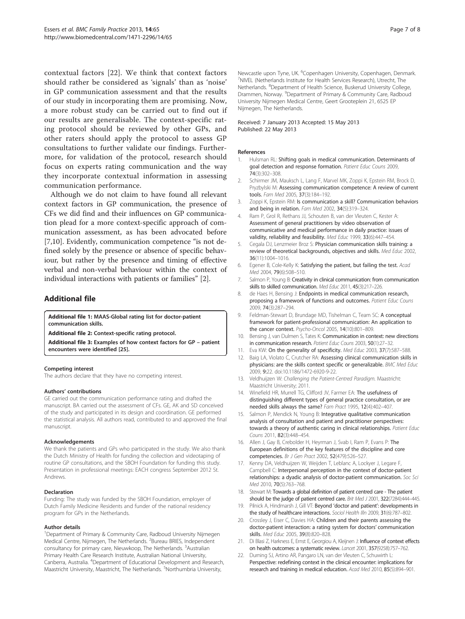<span id="page-6-0"></span>contextual factors [22]. We think that context factors should rather be considered as 'signals' than as 'noise' in GP communication assessment and that the results of our study in incorporating them are promising. Now, a more robust study can be carried out to find out if our results are generalisable. The context-specific rating protocol should be reviewed by other GPs, and other raters should apply the protocol to assess GP consultations to further validate our findings. Furthermore, for validation of the protocol, research should focus on experts rating communication and the way they incorporate contextual information in assessing communication performance.

Although we do not claim to have found all relevant context factors in GP communication, the presence of CFs we did find and their influences on GP communication plead for a more context-specific approach of communication assessment, as has been advocated before [7,10]. Evidently, communication competence "is not defined solely by the presence or absence of specific behaviour, but rather by the presence and timing of effective verbal and non-verbal behaviour within the context of individual interactions with patients or families" [2].

## Additional file

[Additional file 1:](http://www.biomedcentral.com/content/supplementary/1471-2296-14-65-S1.pdf) MAAS-Global rating list for doctor-patient communication skills.

[Additional file 2:](http://www.biomedcentral.com/content/supplementary/1471-2296-14-65-S2.pdf) Context-specific rating protocol.

[Additional file 3:](http://www.biomedcentral.com/content/supplementary/1471-2296-14-65-S3.docx) Examples of how context factors for GP – patient encounters were identified [\[25](#page-7-0)].

#### Competing interest

The authors declare that they have no competing interest.

#### Authors' contributions

GE carried out the communication performance rating and drafted the manuscript. BA carried out the assessment of CFs. GE, AK and SD conceived of the study and participated in its design and coordination. GE performed the statistical analysis. All authors read, contributed to and approved the final manuscript.

#### Acknowledgements

We thank the patients and GPs who participated in the study. We also thank the Dutch Ministry of Health for funding the collection and videotaping of routine GP consultations, and the SBOH Foundation for funding this study. Presentation in professional meetings: EACH congress September 2012 St. Andrews.

#### Declaration

Funding: The study was funded by the SBOH Foundation, employer of Dutch Family Medicine Residents and funder of the national residency program for GPs in the Netherlands.

#### Author details

<sup>1</sup>Department of Primary & Community Care, Radboud University Nijmegen Medical Centre, Nijmegen, The Netherlands. <sup>2</sup>Bureau BRIES, Independent consultancy for primary care, Nieuwkoop, The Netherlands. <sup>3</sup>Australian Primary Health Care Research Institute, Australian National University, Canberra, Australia. <sup>4</sup>Department of Educational Development and Research, Maastricht University, Maastricht, The Netherlands. <sup>5</sup>Northumbria University,

Newcastle upon Tyne, UK. <sup>6</sup>Copenhagen University, Copenhagen, Denmark<br><sup>7</sup>NIVEL (Netherlands Institute for Health Services Research) Utrecht The <sup>7</sup>NIVEL (Netherlands Institute for Health Services Research), Utrecht, The Netherlands. <sup>8</sup>Department of Health Science, Buskerud University College, Drammen, Norway. <sup>9</sup>Department of Primary & Community Care, Radboud University Nijmegen Medical Centre, Geert Grooteplein 21, 6525 EP Nijmegen, The Netherlands.

#### Received: 7 January 2013 Accepted: 15 May 2013 Published: 22 May 2013

#### References

- 1. Hulsman RL: Shifting goals in medical communication. Determinants of goal detection and response formation. Patient Educ Couns 2009, 74(3):302–308.
- 2. Schirmer JM, Mauksch L, Lang F, Marvel MK, Zoppi K, Epstein RM, Brock D, Pryzbylski M: Assessing communication competence: A review of current tools. Fam Med 2005, 37(3):184–192.
- 3. Zoppi K, Epstein RM: Is communication a skill? Communication behaviors and being in relation. Fam Med 2002, 34(5):319–324.
- 4. Ram P, Grol R, Rethans JJ, Schouten B, van der Vleuten C, Kester A: Assessment of general practitioners by video observation of communicative and medical performance in daily practice: issues of validity, reliability and feasibility. Med Educ 1999, 33(6):447–454.
- 5. Cegala DJ, Lenzmeier Broz S: Physician communication skills training: a review of theoretical backgrounds, objectives and skills. Med Educ 2002, 36(11):1004–1016.
- 6. Egener B, Cole-Kelly K: Satisfying the patient, but failing the test. Acad Med 2004, 79(6):508–510.
- 7. Salmon P, Young B: Creativity in clinical communication: from communication skills to skilled communication. Med Educ 2011, 45(3):217–226.
- 8. de Haes H, Bensing J: Endpoints in medical communication research, proposing a framework of functions and outcomes. Patient Educ Couns 2009, 74(3):287–294.
- 9. Feldman-Stewart D, Brundage MD, Tishelman C, Team SC: A conceptual framework for patient-professional communication: An application to the cancer context. Psycho-Oncol 2005, 14(10):801–809.
- 10. Bensing J, van Dulmen S, Tates K: Communication in context: new directions in communication research. Patient Educ Couns 2003, 50(1):27–32.
- 11. Eva KW: On the generality of specificity. Med Educ 2003, 37(7):587-588.
- 12. Baig LA, Violato C, Crutcher RA: Assessing clinical communication skills in physicians: are the skills context specific or generalizable. BMC Med Educ 2009, 9:22. doi[:10.1186/1472-6920-9-22](http://dx.doi.org/10.1186/1472-6920-9-22).
- 13. Veldhuijzen W: Challenging the Patient-Centred Paradigm. Maastricht: Maastricht University; 2011.
- 14. Winefield HR, Murrell TG, Clifford JV, Farmer EA: The usefulness of distinguishing different types of general practice consultation, or are needed skills always the same? Fam Pract 1995, 12(4):402–407.
- 15. Salmon P, Mendick N, Young B: Integrative qualitative communication analysis of consultation and patient and practitioner perspectives: towards a theory of authentic caring in clinical relationships. Patient Educ Couns 2011, 82(3):448–454.
- 16. Allen J, Gay B, Crebolder H, Heyrman J, Svab I, Ram P, Evans P: The European definitions of the key features of the discipline and core competencies. Br J Gen Pract 2002, 52(479):526–527.
- 17. Kenny DA, Veldhuijzen W, Weijden T, Leblanc A, Lockyer J, Legare F, Campbell C: Interpersonal perception in the context of doctor-patient relationships: a dyadic analysis of doctor-patient communication. Soc Sci Med 2010, 70(5):763–768.
- 18. Stewart M: Towards a global definition of patient centred care The patient should be the judge of patient centred care. Brit Med J 2001, 322(7284):444-445.
- 19. Pilnick A, Hindmarsh J, Gill VT: Beyond 'doctor and patient': developments in the study of healthcare interactions. Sociol Health Illn 2009, 31(6):787-802.
- 20. Crossley J, Eiser C, Davies HA: Children and their parents assessing the doctor-patient interaction: a rating system for doctors' communication skills. Med Educ 2005, 39(8):820–828.
- 21. Di Blasi Z, Harkness E, Ernst E, Georgiou A, Kleijnen J: Influence of context effects on health outcomes: a systematic review. Lancet 2001, 357(9258):757–762.
- 22. Durning SJ, Artino AR, Pangaro LN, van der Vleuten C, Schuwirth L: Perspective: redefining context in the clinical encounter: implications for research and training in medical education. Acad Med 2010, 85(5):894–901.